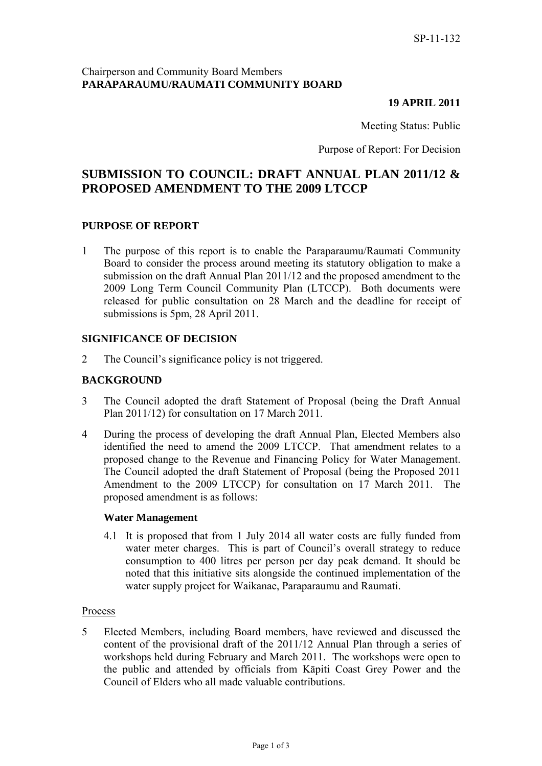# Chairperson and Community Board Members **PARAPARAUMU/RAUMATI COMMUNITY BOARD**

# **19 APRIL 2011**

Meeting Status: Public

Purpose of Report: For Decision

# **SUBMISSION TO COUNCIL: DRAFT ANNUAL PLAN 2011/12 & PROPOSED AMENDMENT TO THE 2009 LTCCP**

# **PURPOSE OF REPORT**

1 The purpose of this report is to enable the Paraparaumu/Raumati Community Board to consider the process around meeting its statutory obligation to make a submission on the draft Annual Plan 2011/12 and the proposed amendment to the 2009 Long Term Council Community Plan (LTCCP). Both documents were released for public consultation on 28 March and the deadline for receipt of submissions is 5pm, 28 April 2011.

# **SIGNIFICANCE OF DECISION**

2 The Council's significance policy is not triggered.

# **BACKGROUND**

- 3 The Council adopted the draft Statement of Proposal (being the Draft Annual Plan 2011/12) for consultation on 17 March 2011.
- 4 During the process of developing the draft Annual Plan, Elected Members also identified the need to amend the 2009 LTCCP. That amendment relates to a proposed change to the Revenue and Financing Policy for Water Management. The Council adopted the draft Statement of Proposal (being the Proposed 2011 Amendment to the 2009 LTCCP) for consultation on 17 March 2011. The proposed amendment is as follows:

#### **Water Management**

4.1 It is proposed that from 1 July 2014 all water costs are fully funded from water meter charges. This is part of Council's overall strategy to reduce consumption to 400 litres per person per day peak demand. It should be noted that this initiative sits alongside the continued implementation of the water supply project for Waikanae, Paraparaumu and Raumati.

#### Process

5 Elected Members, including Board members, have reviewed and discussed the content of the provisional draft of the 2011/12 Annual Plan through a series of workshops held during February and March 2011. The workshops were open to the public and attended by officials from Kāpiti Coast Grey Power and the Council of Elders who all made valuable contributions.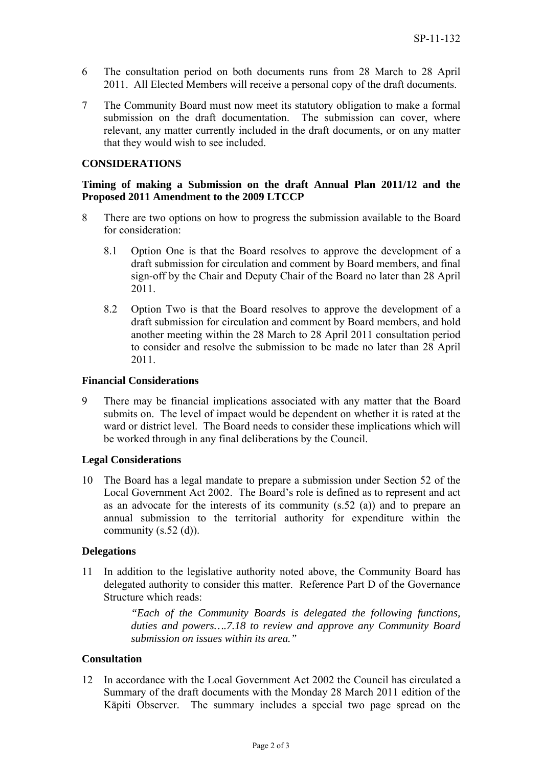- 6 The consultation period on both documents runs from 28 March to 28 April 2011. All Elected Members will receive a personal copy of the draft documents.
- 7 The Community Board must now meet its statutory obligation to make a formal submission on the draft documentation. The submission can cover, where relevant, any matter currently included in the draft documents, or on any matter that they would wish to see included.

# **CONSIDERATIONS**

# **Timing of making a Submission on the draft Annual Plan 2011/12 and the Proposed 2011 Amendment to the 2009 LTCCP**

- 8 There are two options on how to progress the submission available to the Board for consideration:
	- 8.1 Option One is that the Board resolves to approve the development of a draft submission for circulation and comment by Board members, and final sign-off by the Chair and Deputy Chair of the Board no later than 28 April 2011.
	- 8.2 Option Two is that the Board resolves to approve the development of a draft submission for circulation and comment by Board members, and hold another meeting within the 28 March to 28 April 2011 consultation period to consider and resolve the submission to be made no later than 28 April 2011.

### **Financial Considerations**

9 There may be financial implications associated with any matter that the Board submits on. The level of impact would be dependent on whether it is rated at the ward or district level. The Board needs to consider these implications which will be worked through in any final deliberations by the Council.

#### **Legal Considerations**

10 The Board has a legal mandate to prepare a submission under Section 52 of the Local Government Act 2002. The Board's role is defined as to represent and act as an advocate for the interests of its community (s.52 (a)) and to prepare an annual submission to the territorial authority for expenditure within the community  $(s.52$  (d)).

#### **Delegations**

11 In addition to the legislative authority noted above, the Community Board has delegated authority to consider this matter. Reference Part D of the Governance Structure which reads:

> *"Each of the Community Boards is delegated the following functions, duties and powers….7.18 to review and approve any Community Board submission on issues within its area."*

# **Consultation**

12 In accordance with the Local Government Act 2002 the Council has circulated a Summary of the draft documents with the Monday 28 March 2011 edition of the Kāpiti Observer. The summary includes a special two page spread on the